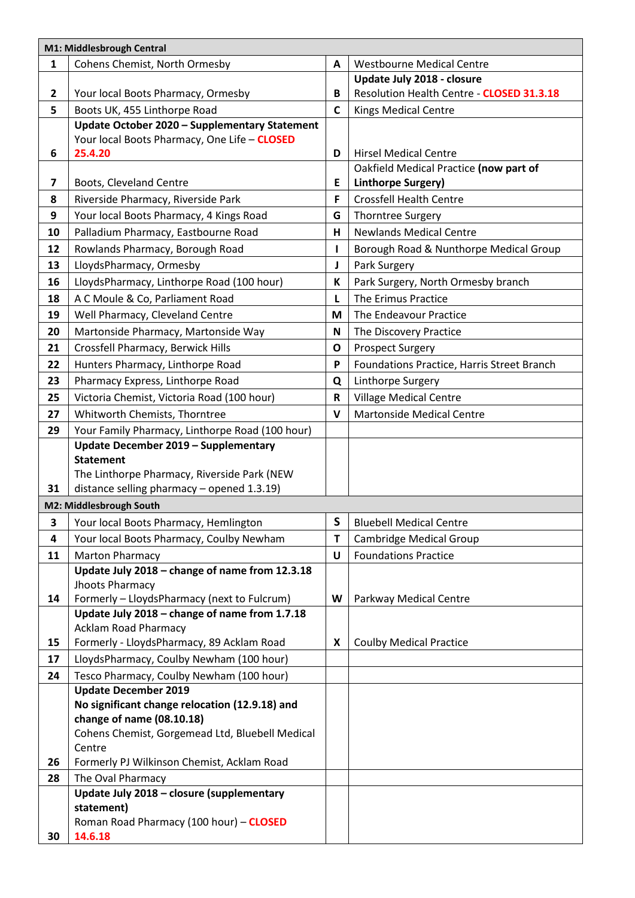| M1: Middlesbrough Central |                                                                                         |              |                                            |
|---------------------------|-----------------------------------------------------------------------------------------|--------------|--------------------------------------------|
| $\mathbf{1}$              | Cohens Chemist, North Ormesby                                                           | A            | <b>Westbourne Medical Centre</b>           |
|                           |                                                                                         |              | Update July 2018 - closure                 |
| $\mathbf{2}$              | Your local Boots Pharmacy, Ormesby                                                      | В            | Resolution Health Centre - CLOSED 31.3.18  |
| 5                         | Boots UK, 455 Linthorpe Road                                                            | $\mathsf{C}$ | <b>Kings Medical Centre</b>                |
|                           | Update October 2020 - Supplementary Statement                                           |              |                                            |
|                           | Your local Boots Pharmacy, One Life - CLOSED                                            |              |                                            |
| 6                         | 25.4.20                                                                                 | D            | <b>Hirsel Medical Centre</b>               |
|                           |                                                                                         |              | Oakfield Medical Practice (now part of     |
| 7                         | Boots, Cleveland Centre                                                                 | E            | Linthorpe Surgery)                         |
| 8                         | Riverside Pharmacy, Riverside Park                                                      | F            | <b>Crossfell Health Centre</b>             |
| 9                         | Your local Boots Pharmacy, 4 Kings Road                                                 | G            | <b>Thorntree Surgery</b>                   |
| 10                        | Palladium Pharmacy, Eastbourne Road                                                     | H.           | <b>Newlands Medical Centre</b>             |
| 12                        | Rowlands Pharmacy, Borough Road                                                         | L            | Borough Road & Nunthorpe Medical Group     |
| 13                        | LloydsPharmacy, Ormesby                                                                 | J            | Park Surgery                               |
| 16                        | LloydsPharmacy, Linthorpe Road (100 hour)                                               | K            | Park Surgery, North Ormesby branch         |
| 18                        | A C Moule & Co, Parliament Road                                                         | L            | The Erimus Practice                        |
| 19                        | Well Pharmacy, Cleveland Centre                                                         | M            | The Endeavour Practice                     |
| 20                        | Martonside Pharmacy, Martonside Way                                                     | N            | The Discovery Practice                     |
| 21                        | Crossfell Pharmacy, Berwick Hills                                                       | O            | <b>Prospect Surgery</b>                    |
| 22                        | Hunters Pharmacy, Linthorpe Road                                                        | P            | Foundations Practice, Harris Street Branch |
| 23                        | Pharmacy Express, Linthorpe Road                                                        | Q            | Linthorpe Surgery                          |
| 25                        | Victoria Chemist, Victoria Road (100 hour)                                              | R            | <b>Village Medical Centre</b>              |
|                           |                                                                                         | $\mathbf v$  |                                            |
| 27                        | Whitworth Chemists, Thorntree                                                           |              | <b>Martonside Medical Centre</b>           |
| 29                        | Your Family Pharmacy, Linthorpe Road (100 hour)<br>Update December 2019 - Supplementary |              |                                            |
|                           | <b>Statement</b>                                                                        |              |                                            |
|                           | The Linthorpe Pharmacy, Riverside Park (NEW                                             |              |                                            |
| 31                        | distance selling pharmacy - opened 1.3.19)                                              |              |                                            |
| M2: Middlesbrough South   |                                                                                         |              |                                            |
| 3                         | Your local Boots Pharmacy, Hemlington                                                   | S            | <b>Bluebell Medical Centre</b>             |
| 4                         | Your local Boots Pharmacy, Coulby Newham                                                | т            | Cambridge Medical Group                    |
| 11                        | <b>Marton Pharmacy</b>                                                                  | U            | <b>Foundations Practice</b>                |
|                           | Update July 2018 - change of name from 12.3.18                                          |              |                                            |
|                           | Jhoots Pharmacy                                                                         |              |                                            |
| 14                        | Formerly - LloydsPharmacy (next to Fulcrum)                                             | W            | Parkway Medical Centre                     |
|                           | Update July 2018 - change of name from 1.7.18                                           |              |                                            |
|                           | <b>Acklam Road Pharmacy</b>                                                             |              |                                            |
| 15                        | Formerly - LloydsPharmacy, 89 Acklam Road                                               | X            | <b>Coulby Medical Practice</b>             |
| 17                        | LloydsPharmacy, Coulby Newham (100 hour)                                                |              |                                            |
| 24                        | Tesco Pharmacy, Coulby Newham (100 hour)                                                |              |                                            |
|                           | <b>Update December 2019</b>                                                             |              |                                            |
|                           | No significant change relocation (12.9.18) and                                          |              |                                            |
|                           | change of name (08.10.18)                                                               |              |                                            |
|                           | Cohens Chemist, Gorgemead Ltd, Bluebell Medical<br>Centre                               |              |                                            |
| 26                        | Formerly PJ Wilkinson Chemist, Acklam Road                                              |              |                                            |
| 28                        | The Oval Pharmacy                                                                       |              |                                            |
|                           | Update July 2018 - closure (supplementary                                               |              |                                            |
|                           | statement)                                                                              |              |                                            |
|                           | Roman Road Pharmacy (100 hour) - CLOSED                                                 |              |                                            |
| 30                        | 14.6.18                                                                                 |              |                                            |